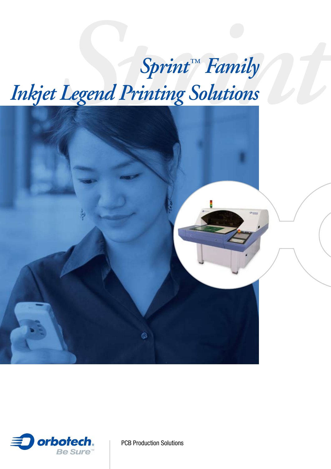# *Sprint™ Family*<br> *Legend Printing Solutions Inkjet Legend Printing Solutions*





PCB Production Solutions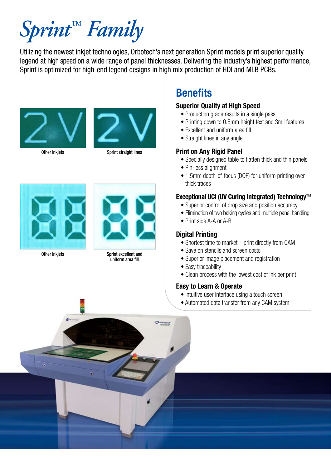# *Sprint™ Family*

Utilizing the newest inkjet technologies, Orbotech's next generation Sprint models print superior quality legend at high speed on a wide range of panel thicknesses. Delivering the industry's highest performance, Sprint is optimized for high-end legend designs in high mix production of HDI and MLB PCBs.



Other inkjets



Sprint straight lines



Other inkjets



Sprint excellent and uniform area fill

# **Benefits**

### **Superior Quality at High Speed**

- Production grade results in a single pass
- Printing down to 0.5mm height text and 3mil features
- Excellent and uniform area fill
- Straight lines in any angle

# **Print on Any Rigid Panel**

- Specially designed table to flatten thick and thin panels
- Pin-less alignment
- 1.5mm depth-of-focus (DOF) for uniform printing over thick traces

# **Exceptional UCI (UV Curing Integrated) Technology**™

- Superior control of drop size and position accuracy
- Elimination of two baking cycles and multiple panel handling
- Print side A-A or A-B

### **Digital Printing**

- Shortest time to market print directly from CAM
- Save on stencils and screen costs
- Superior image placement and registration
- Easy traceability
- Clean process with the lowest cost of ink per print

# **Easy to Learn & Operate**

- Intuitive user interface using a touch screen
- Automated data transfer from any CAM system